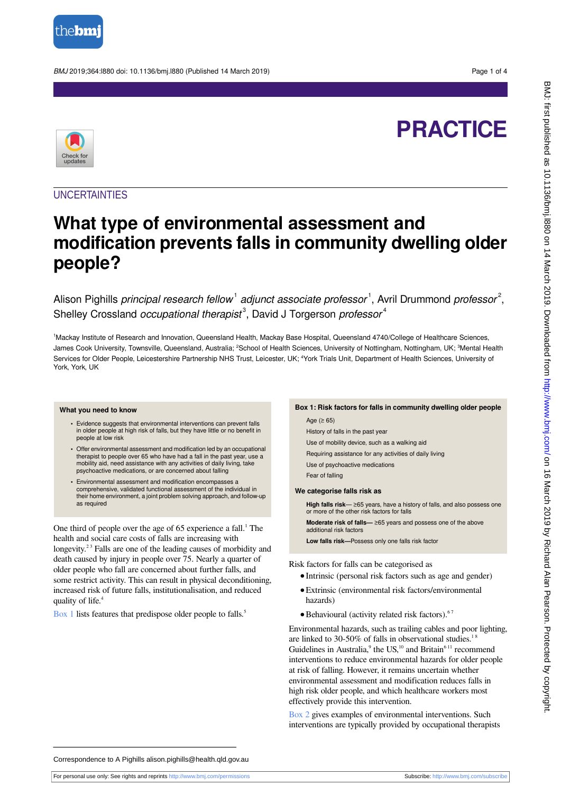

BMJ 2019;364:l880 doi: 10.1136/bmj.l880 (Published 14 March 2019) Page 1 of 4

# **PRACTICE**



### **UNCERTAINTIES**

# **What type of environmental assessment and modification prevents falls in community dwelling older people?**

Alison Pighills *principal research fellow*<sup>1</sup> adjunct associate professor<sup>1</sup>, Avril Drummond professor<sup>2</sup>, Shelley Crossland *occupational therapist*<sup>3</sup>, David J Torgerson *professor*<sup>4</sup>

<sup>1</sup>Mackay Institute of Research and Innovation, Queensland Health, Mackay Base Hospital, Queensland 4740/College of Healthcare Sciences, James Cook University, Townsville, Queensland, Australia; <sup>2</sup>School of Health Sciences, University of Nottingham, Nottingham, UK; <sup>3</sup>Mental Health Services for Older People, Leicestershire Partnership NHS Trust, Leicester, UK; <sup>4</sup>York Trials Unit, Department of Health Sciences, University of York, York, UK

#### **What you need to know**

- **•** Evidence suggests that environmental interventions can prevent falls in older people at high risk of falls, but they have little or no benefit in people at low risk
- **•** Offer environmental assessment and modification led by an occupational therapist to people over 65 who have had a fall in the past year, use a mobility aid, need assistance with any activities of daily living, take psychoactive medications, or are concerned about falling
- **•** Environmental assessment and modification encompasses a comprehensive, validated functional assessment of the individual in their home environment, a joint problem solving approach, and follow-up as required

One third of people over the age of 65 experience a fall.<sup>1</sup> The health and social care costs of falls are increasing with longevity.<sup>23</sup> Falls are one of the leading causes of morbidity and death caused by injury in people over 75. Nearly a quarter of older people who fall are concerned about further falls, and some restrict activity. This can result in physical deconditioning, increased risk of future falls, institutionalisation, and reduced quality of life.<sup>4</sup>

[Box 1](#page-0-0) lists features that predispose older people to falls.<sup>5</sup>

#### <span id="page-0-0"></span>**Box 1: Risk factors for falls in community dwelling older people**

Age  $(>65)$ History of falls in the past year Use of mobility device, such as a walking aid Requiring assistance for any activities of daily living Use of psychoactive medications Fear of falling

#### **We categorise falls risk as**

**High falls risk**— ≥65 years, have a history of falls, and also possess one or more of the other risk factors for falls **Moderate risk of falls—** ≥65 years and possess one of the above additional risk factors **Low falls risk—**Possess only one falls risk factor

Risk factors for falls can be categorised as

- **•**Intrinsic (personal risk factors such as age and gender)
- **•**Extrinsic (environmental risk factors/environmental hazards)
- Behavioural (activity related risk factors).<sup>67</sup>

Environmental hazards, such as trailing cables and poor lighting, are linked to 30-50% of falls in observational studies.<sup>18</sup> Guidelines in Australia,<sup>9</sup> the US,<sup>10</sup> and Britain<sup>611</sup> recommend interventions to reduce environmental hazards for older people at risk of falling. However, it remains uncertain whether environmental assessment and modification reduces falls in high risk older people, and which healthcare workers most effectively provide this intervention.

[Box 2](#page-1-0) gives examples of environmental interventions. Such interventions are typically provided by occupational therapists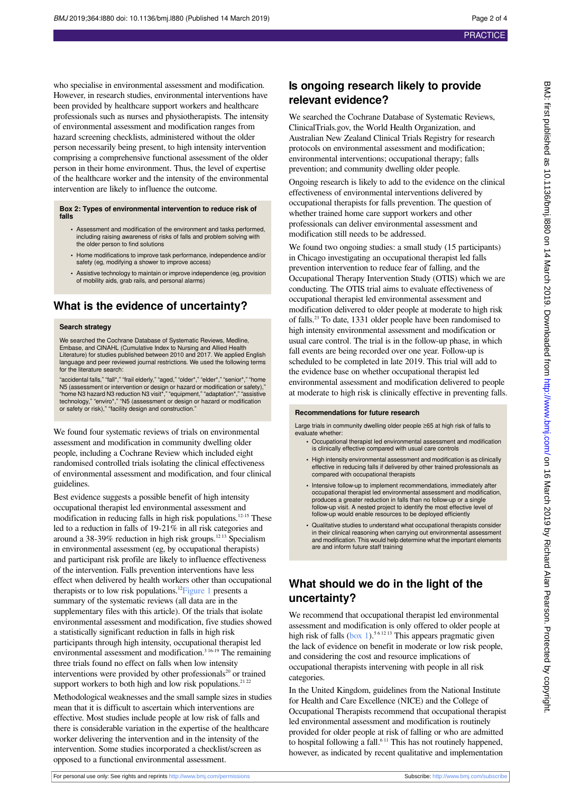who specialise in environmental assessment and modification. However, in research studies, environmental interventions have been provided by healthcare support workers and healthcare professionals such as nurses and physiotherapists. The intensity of environmental assessment and modification ranges from hazard screening checklists, administered without the older person necessarily being present, to high intensity intervention comprising a comprehensive functional assessment of the older person in their home environment. Thus, the level of expertise of the healthcare worker and the intensity of the environmental intervention are likely to influence the outcome.

#### <span id="page-1-0"></span>**Box 2: Types of environmental intervention to reduce risk of falls**

- **•** Assessment and modification of the environment and tasks performed, including raising awareness of risks of falls and problem solving with the older person to find solutions
- **•** Home modifications to improve task performance, independence and/or safety (eg, modifying a shower to improve access)
- **•** Assistive technology to maintain or improve independence (eg, provision of mobility aids, grab rails, and personal alarms)

## **What is the evidence of uncertainty?**

#### **Search strategy**

We searched the Cochrane Database of Systematic Reviews, Medline, Embase, and CINAHL (Cumulative Index to Nursing and Allied Health Literature) for studies published between 2010 and 2017. We applied English language and peer reviewed journal restrictions. We used the following terms for the literature search:

"accidental falls," "fall\*," "frail elderly," "aged," "older\*," "elder\*," "senior\*," "home N5 (assessment or intervention or design or hazard or modification or safety)," "home N3 hazard N3 reduction N3 visit\*," "equipment," "adaptation\*," "assistive technology," "enviro\*," "N5 (assessment or design or hazard or modification or safety or risk)," "facility design and construction."

We found four systematic reviews of trials on environmental assessment and modification in community dwelling older people, including a Cochrane Review which included eight randomised controlled trials isolating the clinical effectiveness of environmental assessment and modification, and four clinical guidelines.

Best evidence suggests a possible benefit of high intensity occupational therapist led environmental assessment and modification in reducing falls in high risk populations.12-15 These led to a reduction in falls of 19-21% in all risk categories and around a 38-39% reduction in high risk groups.12 13 Specialism in environmental assessment (eg, by occupational therapists) and participant risk profile are likely to influence effectiveness of the intervention. Falls prevention interventions have less effect when delivered by health workers other than occupational therapists or to low risk populations.<sup>12</sup>[Figure 1](#page-3-0) presents a summary of the systematic reviews (all data are in the supplementary files with this article). Of the trials that isolate environmental assessment and modification, five studies showed a statistically significant reduction in falls in high risk participants through high intensity, occupational therapist led environmental assessment and modification.<sup>3 16-19</sup> The remaining three trials found no effect on falls when low intensity interventions were provided by other professionals $^{20}$  or trained support workers to both high and low risk populations.<sup>21 22</sup> Methodological weaknesses and the small sample sizes in studies mean that it is difficult to ascertain which interventions are effective. Most studies include people at low risk of falls and there is considerable variation in the expertise of the healthcare worker delivering the intervention and in the intensity of the intervention. Some studies incorporated a checklist/screen as opposed to a functional environmental assessment.

## **Is ongoing research likely to provide relevant evidence?**

We searched the Cochrane Database of Systematic Reviews, ClinicalTrials.gov, the World Health Organization, and Australian New Zealand Clinical Trials Registry for research protocols on environmental assessment and modification; environmental interventions; occupational therapy; falls prevention; and community dwelling older people.

Ongoing research is likely to add to the evidence on the clinical effectiveness of environmental interventions delivered by occupational therapists for falls prevention. The question of whether trained home care support workers and other professionals can deliver environmental assessment and modification still needs to be addressed.

We found two ongoing studies: a small study  $(15$  participants) in Chicago investigating an occupational therapist led falls prevention intervention to reduce fear of falling, and the Occupational Therapy Intervention Study (OTIS) which we are conducting. The OTIS trial aims to evaluate effectiveness of occupational therapist led environmental assessment and modification delivered to older people at moderate to high risk of falls.<sup>23</sup> To date, 1331 older people have been randomised to high intensity environmental assessment and modification or usual care control. The trial is in the follow-up phase, in which fall events are being recorded over one year. Follow-up is scheduled to be completed in late 2019. This trial will add to the evidence base on whether occupational therapist led environmental assessment and modification delivered to people at moderate to high risk is clinically effective in preventing falls.

#### **Recommendations for future research**

Large trials in community dwelling older people ≥65 at high risk of falls to evaluate whether:

- **•** Occupational therapist led environmental assessment and modification is clinically effective compared with usual care controls
- **•** High intensity environmental assessment and modification is as clinically effective in reducing falls if delivered by other trained professionals as compared with occupational therapists
- **•** Intensive follow-up to implement recommendations, immediately after occupational therapist led environmental assessment and modification, produces a greater reduction in falls than no follow-up or a single follow-up visit. A nested project to identify the most effective level of follow-up would enable resources to be deployed efficiently
- **•** Qualitative studies to understand what occupational therapists consider in their clinical reasoning when carrying out environmental assessment and modification. This would help determine what the important elements are and inform future staff training

# **What should we do in the light of the uncertainty?**

We recommend that occupational therapist led environmental assessment and modification is only offered to older people at high risk of falls [\(box 1\)](#page-0-0).<sup>56 12 13</sup> This appears pragmatic given the lack of evidence on benefit in moderate or low risk people, and considering the cost and resource implications of occupational therapists intervening with people in all risk categories.

In the United Kingdom, guidelines from the National Institute for Health and Care Excellence (NICE) and the College of Occupational Therapists recommend that occupational therapist led environmental assessment and modification is routinely provided for older people at risk of falling or who are admitted to hospital following a fall.<sup>611</sup> This has not routinely happened, however, as indicated by recent qualitative and implementation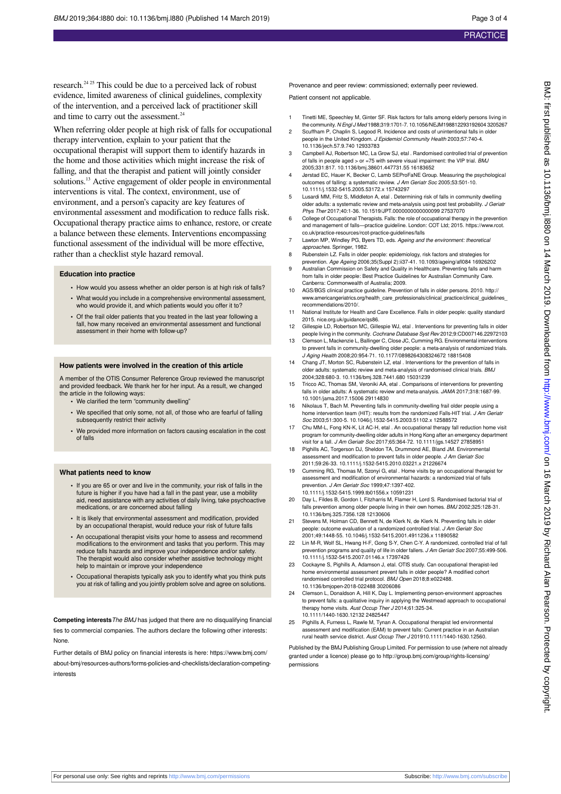research.<sup>24 25</sup> This could be due to a perceived lack of robust evidence, limited awareness of clinical guidelines, complexity of the intervention, and a perceived lack of practitioner skill and time to carry out the assessment.<sup>24</sup>

When referring older people at high risk of falls for occupational therapy intervention, explain to your patient that the occupational therapist will support them to identify hazards in the home and those activities which might increase the risk of falling, and that the therapist and patient will jointly consider solutions.<sup>13</sup> Active engagement of older people in environmental interventions is vital. The context, environment, use of environment, and a person's capacity are key features of environmental assessment and modification to reduce falls risk. Occupational therapy practice aims to enhance, restore, or create a balance between these elements. Interventions encompassing functional assessment of the individual will be more effective, rather than a checklist style hazard removal.

#### **Education into practice**

- **•** How would you assess whether an older person is at high risk of falls?
- **•** What would you include in a comprehensive environmental assessment, who would provide it, and which patients would you offer it to?
- **•** Of the frail older patients that you treated in the last year following a fall, how many received an environmental assessment and functional assessment in their home with follow-up?

#### **How patients were involved in the creation of this article**

A member of the OTIS Consumer Reference Group reviewed the manuscript and provided feedback. We thank her for her input. As a result, we changed the article in the following ways:

- **•** We clarified the term "community dwelling"
- **•** We specified that only some, not all, of those who are fearful of falling subsequently restrict their activity
- **•** We provided more information on factors causing escalation in the cost of falls

#### **What patients need to know**

- **•** If you are 65 or over and live in the community, your risk of falls in the future is higher if you have had a fall in the past year, use a mobility aid, need assistance with any activities of daily living, take psychoactive medications, or are concerned about falling
- **•** It is likely that environmental assessment and modification, provided by an occupational therapist, would reduce your risk of future falls
- **•** An occupational therapist visits your home to assess and recommend modifications to the environment and tasks that you perform. This may reduce falls hazards and improve your independence and/or safety. The therapist would also consider whether assistive technology might help to maintain or improve your independence
- **•** Occupational therapists typically ask you to identify what you think puts you at risk of falling and you jointly problem solve and agree on solutions.

**Competing interests** The BMJ has judged that there are no disqualifying financial ties to commercial companies. The authors declare the following other interests: None.

Further details of BMJ policy on financial interests is here: https://www.bmj.com/ about-bmj/resources-authors/forms-policies-and-checklists/declaration-competinginterests

Provenance and peer review: commissioned; externally peer reviewed. Patient consent not applicable.

- 1 Tinetti ME, Speechley M, Ginter SF. Risk factors for falls among elderly persons living in the community. N Engl J Med 1988;319:1701-7. 10.1056/NEJM198812293192604 3205267
- 2 Scuffham P, Chaplin S, Legood R. Incidence and costs of unintentional falls in older people in the United Kingdom. J Epidemiol Community Health 2003;57:740-4. 10.1136/jech.57.9.740 12933783
- Campbell AJ, Robertson MC, La Grow SJ, etal . Randomised controlled trial of prevention of falls in people aged  $>$  or =75 with severe visual impairment: the VIP trial. BMJ 2005;331:817. 10.1136/bmj.38601.447731.55 16183652
- 4 Jørstad EC, Hauer K, Becker C, Lamb SEProFaNE Group. Measuring the psychological outcomes of falling: a systematic review. J Am Geriatr Soc 2005;53:501-10. 10.1111/j.1532-5415.2005.53172.x 15743297
- 5 Lusardi MM, Fritz S, Middleton A, etal . Determining risk of falls in community dwelling older adults: a systematic review and meta-analysis using post test probability. J Geriatr Phys Ther 2017;40:1-36. 10.1519/JPT.0000000000000099 27537070
- 6 College of Occupational Therapists. Falls: the role of occupational therapy in the prevention and management of falls—practice guideline. London: COT Ltd; 2015. https://www.rcot. co.uk/practice-resources/rcot-practice-guidelines/falls
- Lawton MP, Windley PG, Byers TD, eds. Ageing and the environment: theoretical approaches. Springer, 1982.
- 8 Rubenstein LZ. Falls in older people: epidemiology, risk factors and strategies for prevention. Age Ageing 2006;35(Suppl 2):ii37-41. 10.1093/ageing/afl084 16926202
- 9 Australian Commission on Safety and Quality in Healthcare. Preventing falls and harm from falls in older people: Best Practice Guidelines for Australian Community Care. Canberra: Commonwealth of Australia; 2009.
- 10 AGS/BGS clinical practice guideline. Prevention of falls in older persons. 2010. [http://](http://www.americangeriatrics.org/health_care_professionals/clinical_practice/clinical_guidelines_recommendations/2010/) [www.americangeriatrics.org/health\\_care\\_professionals/clinical\\_practice/clinical\\_guidelines\\_](http://www.americangeriatrics.org/health_care_professionals/clinical_practice/clinical_guidelines_recommendations/2010/) [recommendations/2010/](http://www.americangeriatrics.org/health_care_professionals/clinical_practice/clinical_guidelines_recommendations/2010/).
- 11 National Institute for Health and Care Excellence. Falls in older people: quality standard 2015. [nice.org.uk/guidance/qs86](http://nice.org.uk/guidance/qs86).
- 12 Gillespie LD, Robertson MC, Gillespie WJ, etal . Interventions for preventing falls in older people living in the community. Cochrane Database Syst Rev 2012;9:CD007146.22972103
- 13 Clemson L, Mackenzie L, Ballinger C, Close JC, Cumming RG. Environmental interventions to prevent falls in community-dwelling older people: a meta-analysis of randomized trials. J Aging Health 2008;20:954-71. 10.1177/0898264308324672 18815408
- 14 Chang JT, Morton SC, Rubenstein LZ, etal . Interventions for the prevention of falls in older adults: systematic review and meta-analysis of randomised clinical trials. BMJ 2004;328:680-3. 10.1136/bmj.328.7441.680 15031239
- 15 Tricco AC, Thomas SM, Veroniki AA, etal . Comparisons of interventions for preventing falls in older adults: A systematic review and meta-analysis. JAMA 2017;318:1687-99. 10.1001/jama.2017.15006 29114830
- 16 Nikolaus T, Bach M. Preventing falls in community-dwelling frail older people using a home intervention team (HIT): results from the randomized Falls-HIT trial. J Am Geriatr Soc 2003;51:300-5. 10.1046/j.1532-5415.2003.51102.x 12588572
- 17 Chu MM-L, Fong KN-K, Lit AC-H, etal . An occupational therapy fall reduction home visit program for community-dwelling older adults in Hong Kong after an emergency department visit for a fall. J Am Geriatr Soc 2017;65:364-72. 10.1111/jgs.14527 27858951
- 18 Pighills AC, Torgerson DJ, Sheldon TA, Drummond AE, Bland JM. Environmental assessment and modification to prevent falls in older people. J Am Geriatr Soc 2011;59:26-33. 10.1111/j.1532-5415.2010.03221.x 21226674
- Cumming RG, Thomas M, Szonyi G, etal . Home visits by an occupational therapist for assessment and modification of environmental hazards: a randomized trial of falls prevention. J Am Geriatr Soc 1999;47:1397-402. 10.1111/j.1532-5415.1999.tb01556.x 10591231
- 20 Day L, Fildes B, Gordon I, Fitzharris M, Flamer H, Lord S. Randomised factorial trial of falls prevention among older people living in their own homes. BMJ 2002;325:128-31. 10.1136/bmj.325.7356.128 12130606
- Stevens M, Holman CD, Bennett N, de Klerk N, de Klerk N. Preventing falls in older people: outcome evaluation of a randomized controlled trial. J Am Geriatr Soc 2001;49:1448-55. 10.1046/j.1532-5415.2001.4911236.x 11890582
- 22 Lin M-R, Wolf SL, Hwang H-F, Gong S-Y, Chen C-Y. A randomized, controlled trial of fall prevention programs and quality of life in older fallers. J Am Geriatr Soc 2007;55:499-506. 10.1111/j.1532-5415.2007.01146.x 17397426
- 23 Cockayne S, Pighills A, Adamson J, etal. OTIS study. Can occupational therapist-led home environmental assessment prevent falls in older people? A modified cohort randomised controlled trial protocol. BMJ Open 2018;8:e022488. 10.1136/bmjopen-2018-022488 30206086
- 24 Clemson L, Donaldson A, Hill K, Day L. Implementing person-environment approaches to prevent falls: a qualitative inquiry in applying the Westmead approach to occupational therapy home visits. Aust Occup Ther J 2014;61:325-34. 10.1111/1440-1630.12132 24825447
- 25 Pighills A, Furness L, Rawle M, Tynan A. Occupational therapist led environmental assessment and modification (EAM) to prevent falls: Current practice in an Australian rural health service district. Aust Occup Ther J 201910.1111/1440-1630.12560.

Published by the BMJ Publishing Group Limited. For permission to use (where not already granted under a licence) please go to [http://group.bmj.com/group/rights-licensing/](http://group.bmj.com/group/rights-licensing/permissions) [permissions](http://group.bmj.com/group/rights-licensing/permissions)